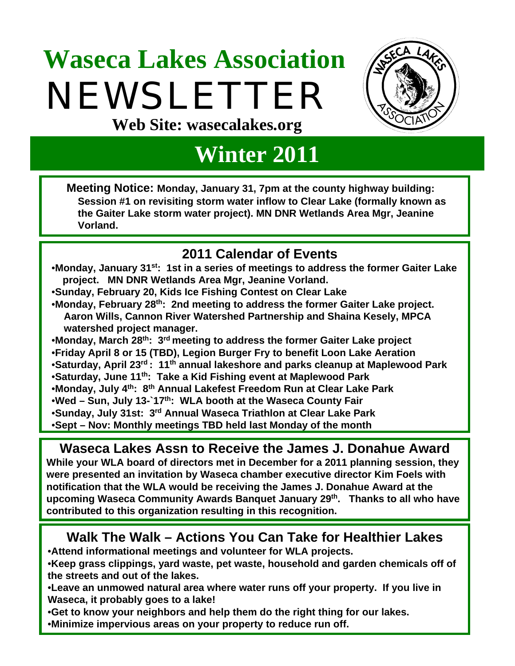# **Waseca Lakes Association**  NEWSLETTER **Web Site: wasecalakes.org**



## **Winter 2011**

**Meeting Notice: Monday, January 31, 7pm at the county highway building: Session #1 on revisiting storm water inflow to Clear Lake (formally known as the Gaiter Lake storm water project). MN DNR Wetlands Area Mgr, Jeanine Vorland.**

## **2011 Calendar of Events**

- •**Monday, January 31st: 1st in a series of meetings to address the former Gaiter Lake**  project. MN DNR Wetlands Area Mgr, Jeanine Vorland.
- •**Sunday, February 20, Kids Ice Fishing Contest on Clear Lake**
- •**Monday, February 28th: 2nd meeting to address the former Gaiter Lake project. Aaron Wills, Cannon River Watershed Partnership and Shaina Kesely, MPCA oowatershed project manager.**
- •**Monday, March 28th: 3rd meeting to address the former Gaiter Lake project**
- •**Friday April 8 or 15 (TBD), Legion Burger Fry to benefit Loon Lake Aeration**
- •**Saturday, April 23rd : 11th annual lakeshore and parks cleanup at Maplewood Park**
- •**Saturday, June 11th: Take a Kid Fishing event at Maplewood Park**
- •**Monday, July 4th: 8th Annual Lakefest Freedom Run at Clear Lake Park**
- •**Wed Sun, July 13-`17th: WLA booth at the Waseca County Fair**
- •**Sunday, July 31st: 3rd Annual Waseca Triathlon at Clear Lake Park**
- •**Sept Nov: Monthly meetings TBD held last Monday of the month**

**Waseca Lakes Assn to Receive the James J. Donahue Award While your WLA board of directors met in December for a 2011 planning session, they were presented an invitation by Waseca chamber executive director Kim Foels with notification that the WLA would be receiving the James J. Donahue Award at the upcoming Waseca Community Awards Banquet January 29th. Thanks to all who have contributed to this organization resulting in this recognition.**

### **Walk The Walk – Actions You Can Take for Healthier Lakes**

•**Attend informational meetings and volunteer for WLA projects.**

- •**Keep grass clippings, yard waste, pet waste, household and garden chemicals off of the streets and out of the lakes.**
- •**Leave an unmowed natural area where water runs off your property. If you live in Waseca, it probably goes to a lake!**
- •**Get to know your neighbors and help them do the right thing for our lakes.**
- •**Minimize impervious areas on your property to reduce run off.**